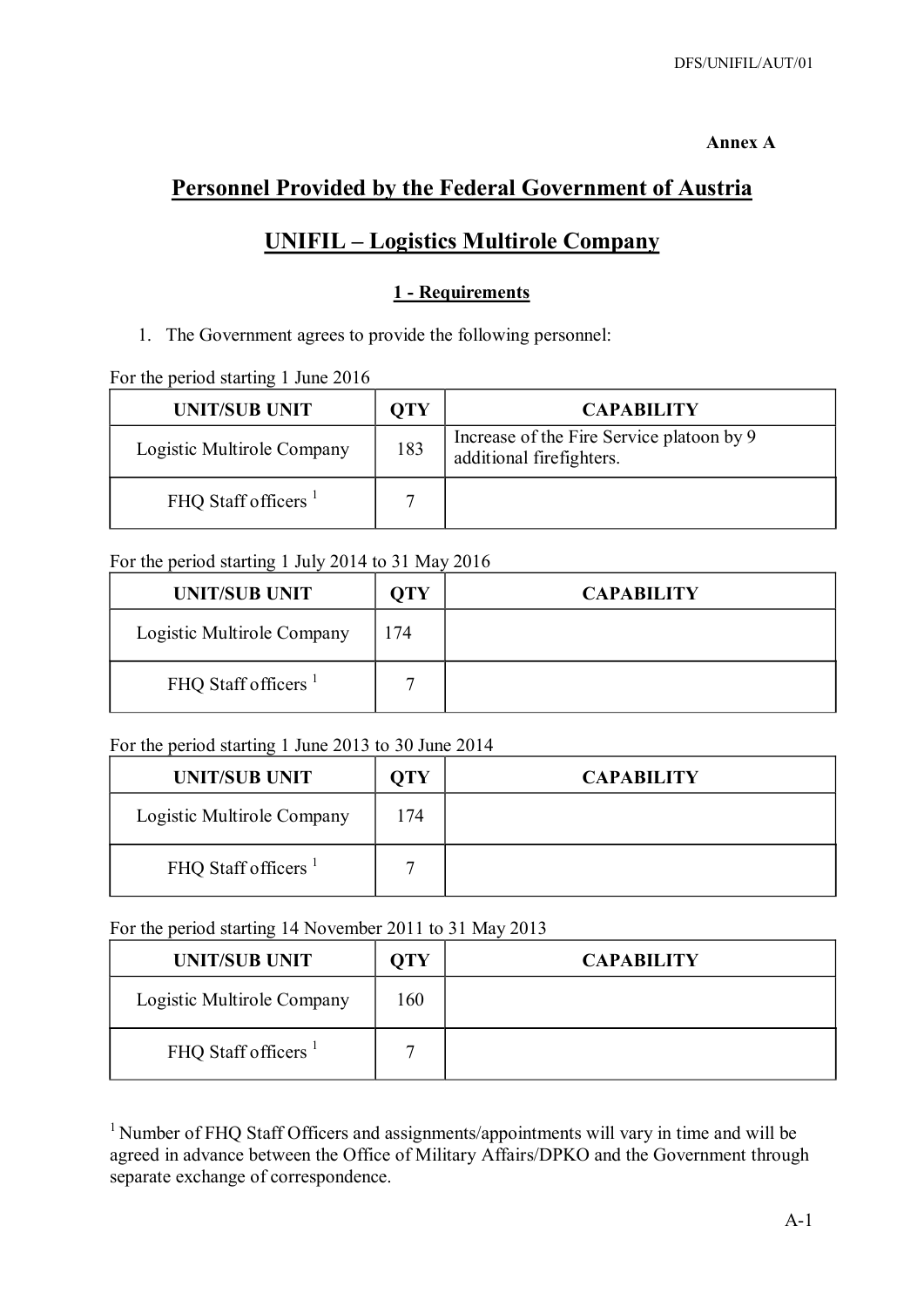#### **Annex A**

# **Personnel Provided by the Federal Government of Austria**

## **UNIFIL – Logistics Multirole Company**

## **1 - Requirements**

1. The Government agrees to provide the following personnel:

For the period starting 1 June 2016

| <b>UNIT/SUB UNIT</b>            | OTY | <b>CAPABILITY</b>                                                     |
|---------------------------------|-----|-----------------------------------------------------------------------|
| Logistic Multirole Company      | 183 | Increase of the Fire Service platoon by 9<br>additional firefighters. |
| FHQ Staff officers <sup>1</sup> |     |                                                                       |

## For the period starting 1 July 2014 to 31 May 2016

| <b>UNIT/SUB UNIT</b>            | OTY | <b>CAPABILITY</b> |
|---------------------------------|-----|-------------------|
| Logistic Multirole Company      | 174 |                   |
| FHQ Staff officers <sup>1</sup> |     |                   |

## For the period starting 1 June 2013 to 30 June 2014

| <b>UNIT/SUB UNIT</b>            | <b>OTY</b> | <b>CAPABILITY</b> |
|---------------------------------|------------|-------------------|
| Logistic Multirole Company      | 174        |                   |
| FHQ Staff officers <sup>1</sup> |            |                   |

#### For the period starting 14 November 2011 to 31 May 2013

| <b>UNIT/SUB UNIT</b>            | OTY | <b>CAPABILITY</b> |
|---------------------------------|-----|-------------------|
| Logistic Multirole Company      | 160 |                   |
| FHQ Staff officers <sup>1</sup> |     |                   |

<sup>1</sup> Number of FHQ Staff Officers and assignments/appointments will vary in time and will be agreed in advance between the Office of Military Affairs/DPKO and the Government through separate exchange of correspondence.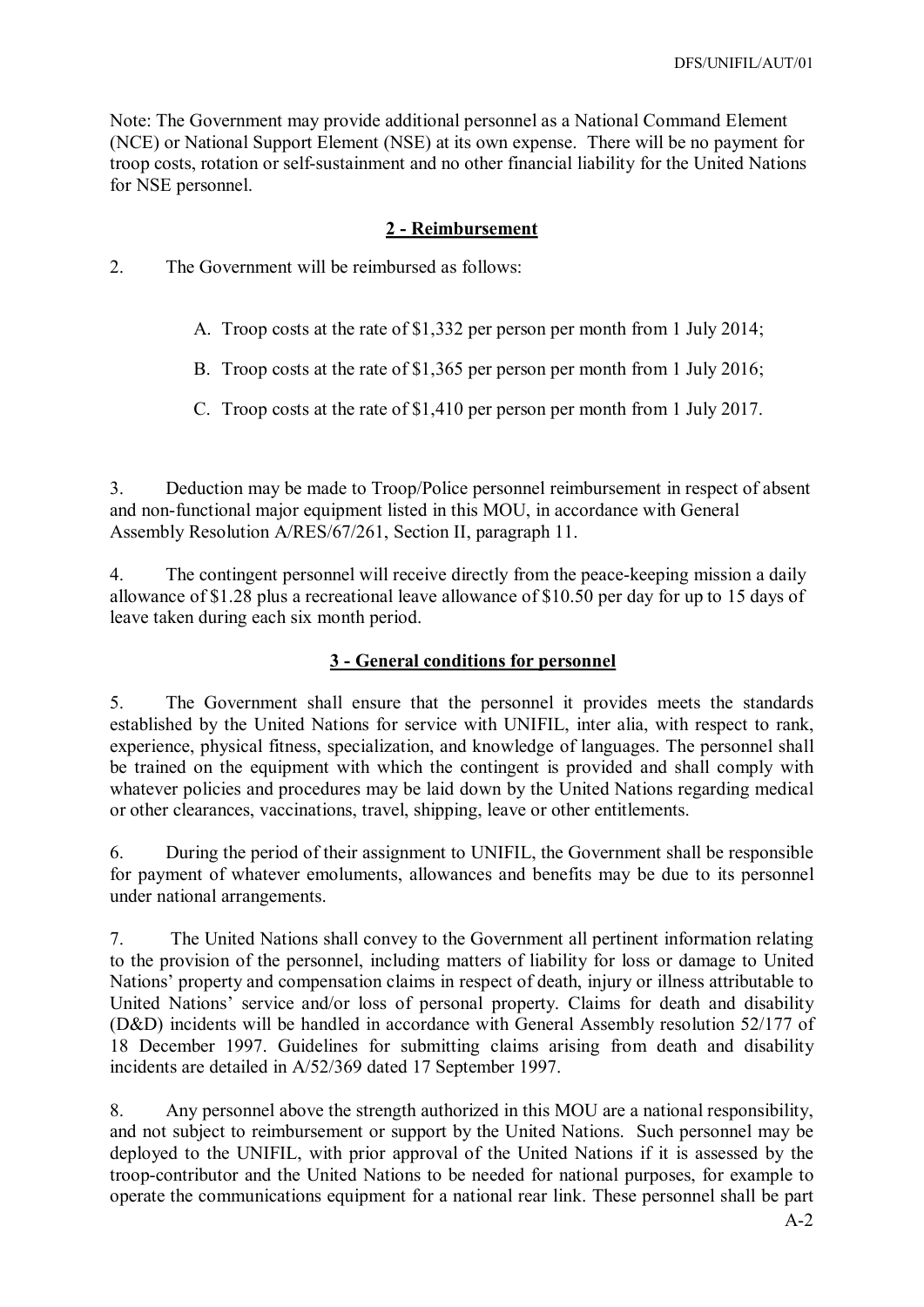Note: The Government may provide additional personnel as a National Command Element (NCE) or National Support Element (NSE) at its own expense. There will be no payment for troop costs, rotation or self-sustainment and no other financial liability for the United Nations for NSE personnel.

### **2 - Reimbursement**

2. The Government will be reimbursed as follows:

- A. Troop costs at the rate of \$1,332 per person per month from 1 July 2014;
- B. Troop costs at the rate of \$1,365 per person per month from 1 July 2016;
- C. Troop costs at the rate of \$1,410 per person per month from 1 July 2017.

3. Deduction may be made to Troop/Police personnel reimbursement in respect of absent and non-functional major equipment listed in this MOU, in accordance with General Assembly Resolution A/RES/67/261, Section II, paragraph 11.

4. The contingent personnel will receive directly from the peace-keeping mission a daily allowance of \$1.28 plus a recreational leave allowance of \$10.50 per day for up to 15 days of leave taken during each six month period.

## **3 - General conditions for personnel**

5. The Government shall ensure that the personnel it provides meets the standards established by the United Nations for service with UNIFIL, inter alia, with respect to rank, experience, physical fitness, specialization, and knowledge of languages. The personnel shall be trained on the equipment with which the contingent is provided and shall comply with whatever policies and procedures may be laid down by the United Nations regarding medical or other clearances, vaccinations, travel, shipping, leave or other entitlements.

6. During the period of their assignment to UNIFIL, the Government shall be responsible for payment of whatever emoluments, allowances and benefits may be due to its personnel under national arrangements.

7. The United Nations shall convey to the Government all pertinent information relating to the provision of the personnel, including matters of liability for loss or damage to United Nations' property and compensation claims in respect of death, injury or illness attributable to United Nations' service and/or loss of personal property. Claims for death and disability (D&D) incidents will be handled in accordance with General Assembly resolution 52/177 of 18 December 1997. Guidelines for submitting claims arising from death and disability incidents are detailed in A/52/369 dated 17 September 1997.

8. Any personnel above the strength authorized in this MOU are a national responsibility, and not subject to reimbursement or support by the United Nations. Such personnel may be deployed to the UNIFIL, with prior approval of the United Nations if it is assessed by the troop-contributor and the United Nations to be needed for national purposes, for example to operate the communications equipment for a national rear link. These personnel shall be part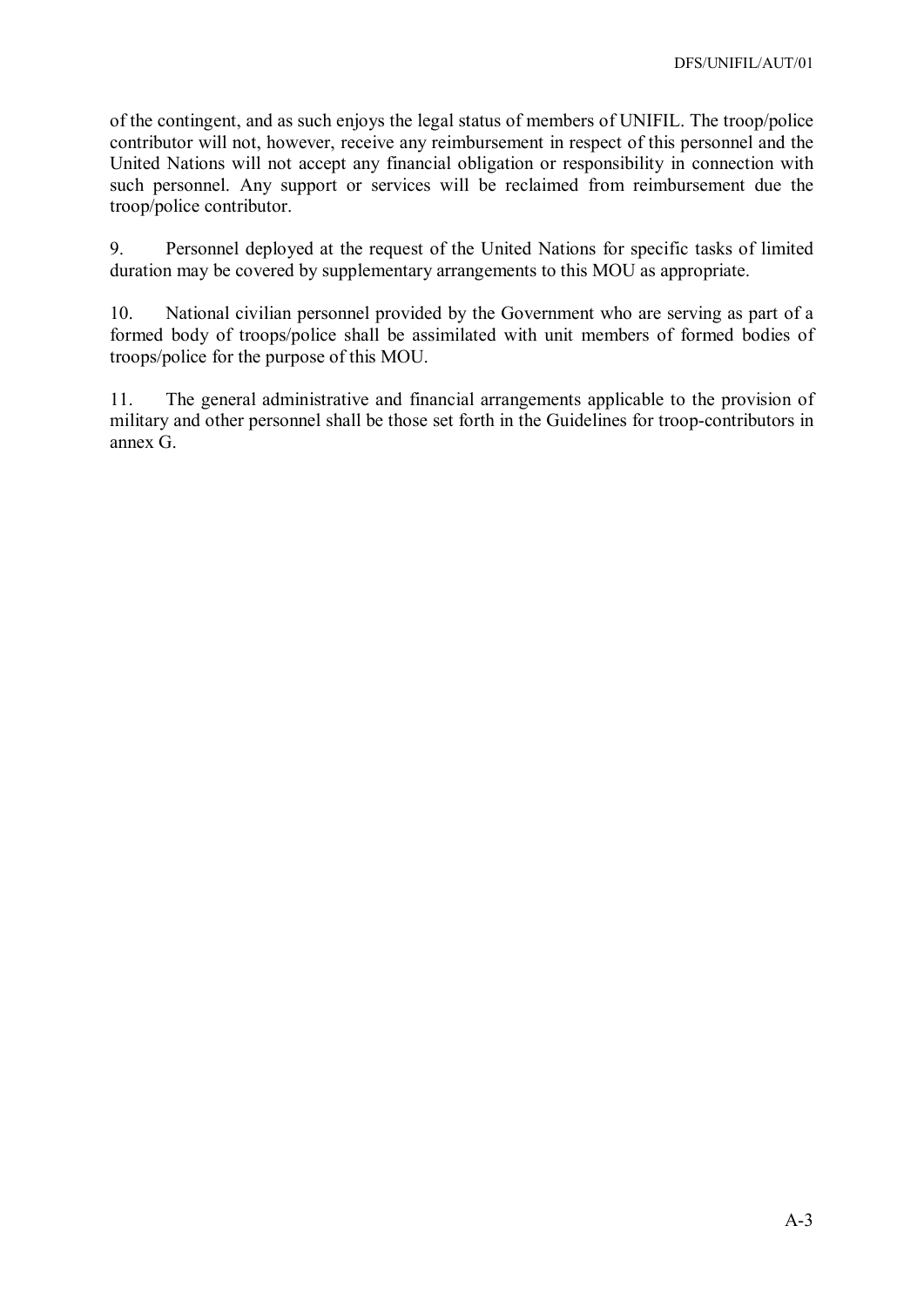of the contingent, and as such enjoys the legal status of members of UNIFIL. The troop/police contributor will not, however, receive any reimbursement in respect of this personnel and the United Nations will not accept any financial obligation or responsibility in connection with such personnel. Any support or services will be reclaimed from reimbursement due the troop/police contributor.

9. Personnel deployed at the request of the United Nations for specific tasks of limited duration may be covered by supplementary arrangements to this MOU as appropriate.

10. National civilian personnel provided by the Government who are serving as part of a formed body of troops/police shall be assimilated with unit members of formed bodies of troops/police for the purpose of this MOU.

11. The general administrative and financial arrangements applicable to the provision of military and other personnel shall be those set forth in the Guidelines for troop-contributors in annex G.